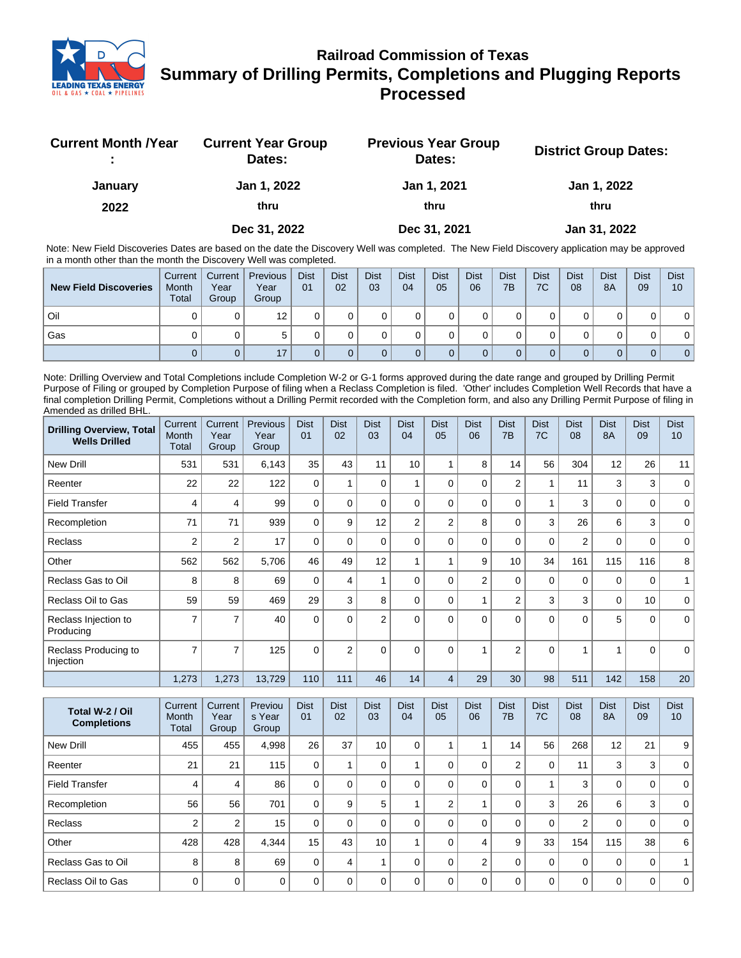

## **Railroad Commission of Texas Summary of Drilling Permits, Completions and Plugging Reports Processed**

| <b>Current Month / Year</b> | <b>Current Year Group</b><br>Dates: | <b>Previous Year Group</b><br>Dates: | <b>District Group Dates:</b> |
|-----------------------------|-------------------------------------|--------------------------------------|------------------------------|
| January                     | Jan 1, 2022                         | Jan 1, 2021                          | Jan 1, 2022                  |
| 2022                        | thru                                | thru                                 | thru                         |
|                             | Dec 31, 2022                        | Dec 31, 2021                         | Jan 31, 2022                 |

Note: New Field Discoveries Dates are based on the date the Discovery Well was completed. The New Field Discovery application may be approved in a month other than the month the Discovery Well was completed.

| <b>New Field Discoveries</b> | Current<br>Month<br><b>Total</b> | Current  <br>Year<br>Group | <b>Previous</b><br>Year<br>Group | <b>Dist</b><br>01 | <b>Dist</b><br>02 | <b>Dist</b><br>03 | <b>Dist</b><br>04 | <b>Dist</b><br>05 | <b>Dist</b><br>06 | <b>Dist</b><br>7B | <b>Dist</b><br>7C | <b>Dist</b><br>08 | <b>Dist</b><br>8A | <b>Dist</b><br>09 | <b>Dist</b><br>10 |
|------------------------------|----------------------------------|----------------------------|----------------------------------|-------------------|-------------------|-------------------|-------------------|-------------------|-------------------|-------------------|-------------------|-------------------|-------------------|-------------------|-------------------|
| Oil                          |                                  |                            | 12                               |                   |                   |                   |                   |                   |                   |                   |                   |                   |                   |                   | 0                 |
| Gas                          |                                  |                            |                                  |                   |                   |                   |                   |                   |                   |                   |                   |                   |                   |                   | 0 <sup>1</sup>    |
|                              |                                  |                            | 17                               |                   |                   |                   |                   |                   |                   |                   |                   |                   |                   |                   | 0 <sup>1</sup>    |

Note: Drilling Overview and Total Completions include Completion W-2 or G-1 forms approved during the date range and grouped by Drilling Permit Purpose of Filing or grouped by Completion Purpose of filing when a Reclass Completion is filed. 'Other' includes Completion Well Records that have a final completion Drilling Permit, Completions without a Drilling Permit recorded with the Completion form, and also any Drilling Permit Purpose of filing in Amended as drilled BHL.

| <b>Drilling Overview, Total</b><br><b>Wells Drilled</b> | Current<br>Month<br><b>Total</b> | Current<br>Year<br>Group | Previous<br>Year<br>Group | <b>Dist</b><br>01 | <b>Dist</b><br>02 | <b>Dist</b><br>03 | <b>Dist</b><br>04 | <b>Dist</b><br>05 | <b>Dist</b><br>06 | <b>Dist</b><br>7B | <b>Dist</b><br>7C | <b>Dist</b><br>08 | <b>Dist</b><br><b>8A</b> | <b>Dist</b><br>09 | <b>Dist</b><br>10 |
|---------------------------------------------------------|----------------------------------|--------------------------|---------------------------|-------------------|-------------------|-------------------|-------------------|-------------------|-------------------|-------------------|-------------------|-------------------|--------------------------|-------------------|-------------------|
| <b>New Drill</b>                                        | 531                              | 531                      | 6,143                     | 35                | 43                | 11                | 10                | 4                 | 8                 | 14                | 56                | 304               | 12                       | 26                | 11                |
| Reenter                                                 | 22                               | 22                       | 122                       | $\Omega$          |                   | $\Omega$          |                   | $\Omega$          | $\Omega$          | $\overline{2}$    | 1                 | 11                | 3                        | 3                 | $\mathbf 0$       |
| <b>Field Transfer</b>                                   | 4                                | $\overline{4}$           | 99                        | $\mathbf 0$       | $\Omega$          | 0                 | $\Omega$          | $\Omega$          | 0                 | 0                 | 4                 | 3                 | $\mathbf 0$              | $\mathbf 0$       | $\mathbf 0$       |
| Recompletion                                            | 71                               | 71                       | 939                       | $\Omega$          | 9                 | 12                | $\overline{2}$    | $\overline{2}$    | 8                 | $\Omega$          | 3                 | 26                | 6                        | 3                 | 0                 |
| Reclass                                                 | $\overline{2}$                   | $\overline{2}$           | 17                        | $\Omega$          | $\Omega$          | 0                 | $\Omega$          | $\Omega$          | 0                 | 0                 | $\mathbf 0$       | 2                 | 0                        | 0                 | 0                 |
| Other                                                   | 562                              | 562                      | 5,706                     | 46                | 49                | 12                |                   |                   | 9                 | 10                | 34                | 161               | 115                      | 116               | 8                 |
| Reclass Gas to Oil                                      | 8                                | 8                        | 69                        | $\Omega$          | 4                 |                   | $\Omega$          | $\Omega$          | $\overline{2}$    | 0                 | $\mathbf 0$       | $\mathbf 0$       | $\mathbf 0$              | $\mathbf 0$       |                   |
| Reclass Oil to Gas                                      | 59                               | 59                       | 469                       | 29                | 3                 | 8                 | $\Omega$          | $\Omega$          |                   | $\overline{2}$    | 3                 | 3                 | $\mathbf 0$              | 10                | $\mathbf 0$       |
| Reclass Injection to<br>Producing                       | 7                                | 7                        | 40                        | $\Omega$          | $\Omega$          | $\overline{2}$    | $\Omega$          | $\Omega$          | $\Omega$          | $\Omega$          | $\Omega$          | $\Omega$          | 5                        | $\Omega$          | $\Omega$          |
| Reclass Producing to<br>Injection                       | $\overline{7}$                   | 7                        | 125                       | $\Omega$          | $\overline{2}$    | $\Omega$          | $\Omega$          | $\Omega$          |                   | $\overline{2}$    | $\Omega$          | 1                 | 4                        | $\Omega$          | $\Omega$          |
|                                                         | 1,273                            | 1,273                    | 13,729                    | 110               | 111               | 46                | 14                | 4                 | 29                | 30                | 98                | 511               | 142                      | 158               | 20                |

| Total W-2 / Oil<br><b>Completions</b> | Current<br>Month<br>Total | Current<br>Year<br>Group | Previou<br>s Year<br>Group | <b>Dist</b><br>01 | <b>Dist</b><br>02 | <b>Dist</b><br>03 | <b>Dist</b><br>04 | <b>Dist</b><br>05 | <b>Dist</b><br>06 | <b>Dist</b><br>7B | <b>Dist</b><br>7C | <b>Dist</b><br>08 | <b>Dist</b><br><b>8A</b> | <b>Dist</b><br>09 | <b>Dist</b><br>10 |
|---------------------------------------|---------------------------|--------------------------|----------------------------|-------------------|-------------------|-------------------|-------------------|-------------------|-------------------|-------------------|-------------------|-------------------|--------------------------|-------------------|-------------------|
| New Drill                             | 455                       | 455                      | 4.998                      | 26                | 37                | 10                | 0                 |                   |                   | 14                | 56                | 268               | 12                       | 21                | 9                 |
| Reenter                               | 21                        | 21                       | 115                        | 0                 |                   | 0                 |                   | $\Omega$          | $\Omega$          | $\overline{2}$    | 0                 | 11                | 3                        | 3                 | 0                 |
| <b>Field Transfer</b>                 | 4                         | 4                        | 86                         | 0                 | $\Omega$          |                   |                   | $\Omega$          | 0                 | 0                 |                   | 3                 | 0                        | 0                 | $\mathbf 0$       |
| Recompletion                          | 56                        | 56                       | 701                        | $\Omega$          | 9                 | 5                 |                   | $\overline{2}$    |                   | 0                 | 3                 | 26                | 6                        | 3                 | $\mathbf 0$       |
| <b>Reclass</b>                        | 2                         | $\overline{2}$           | 15                         | $\Omega$          | $\Omega$          | 0                 |                   | $\Omega$          | $\Omega$          | $\Omega$          | $\mathbf 0$       | 2                 | 0                        | 0                 | $\Omega$          |
| Other                                 | 428                       | 428                      | 4.344                      | 15                | 43                | 10                |                   | $\Omega$          | 4                 | 9                 | 33                | 154               | 115                      | 38                | 6                 |
| Reclass Gas to Oil                    | 8                         | 8                        | 69                         | $\Omega$          | $\overline{4}$    |                   |                   |                   | $\overline{2}$    | $\mathbf 0$       | 0                 | $\mathbf 0$       | 0                        | 0                 |                   |
| Reclass Oil to Gas                    | $\Omega$                  | 0                        | $\Omega$                   | U                 | $\Omega$          | U                 |                   | $\Omega$          | $\Omega$          | $\Omega$          | $\Omega$          | $\mathbf 0$       | $\mathbf{0}$             | 0                 | $\mathbf 0$       |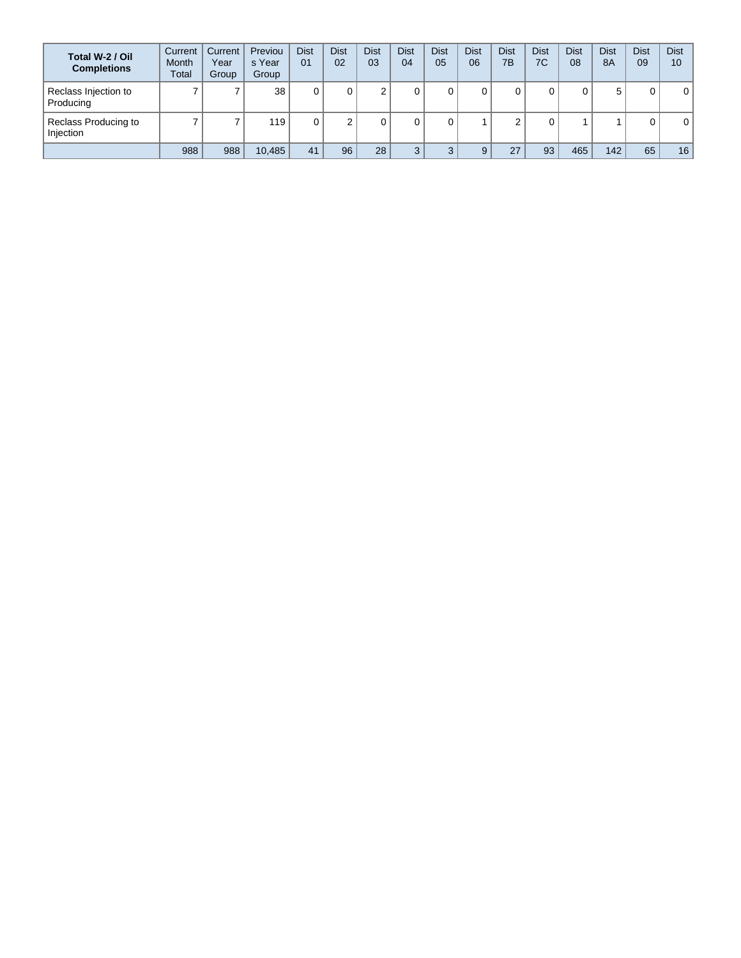| Total W-2 / Oil<br><b>Completions</b> | Current<br><b>Month</b><br><b>Total</b> | Current<br>Year<br>Group | Previou<br>s Year<br>Group | <b>Dist</b><br>01 | <b>Dist</b><br>02 | <b>Dist</b><br>03 | Dist<br>04   | <b>Dist</b><br>05 | <b>Dist</b><br>06 | <b>Dist</b><br>7B | Dist<br>7C | <b>Dist</b><br>08 | <b>Dist</b><br>8A | <b>Dist</b><br>09 | <b>Dist</b><br>10 |
|---------------------------------------|-----------------------------------------|--------------------------|----------------------------|-------------------|-------------------|-------------------|--------------|-------------------|-------------------|-------------------|------------|-------------------|-------------------|-------------------|-------------------|
| Reclass Injection to<br>Producing     |                                         | –                        | 38                         |                   |                   |                   | 0            |                   |                   |                   | 0          |                   | 5                 | 0                 | 0                 |
| Reclass Producing to<br>Injection     |                                         | -                        | 119                        |                   |                   |                   | 0            |                   |                   |                   | 0          |                   |                   | 0                 | 0                 |
|                                       | 988                                     | 988                      | 10,485                     | 41                | 96                | 28                | $\mathbf{z}$ | ົ                 |                   | 27                | 93         | 465               | 142               | 65                | 16                |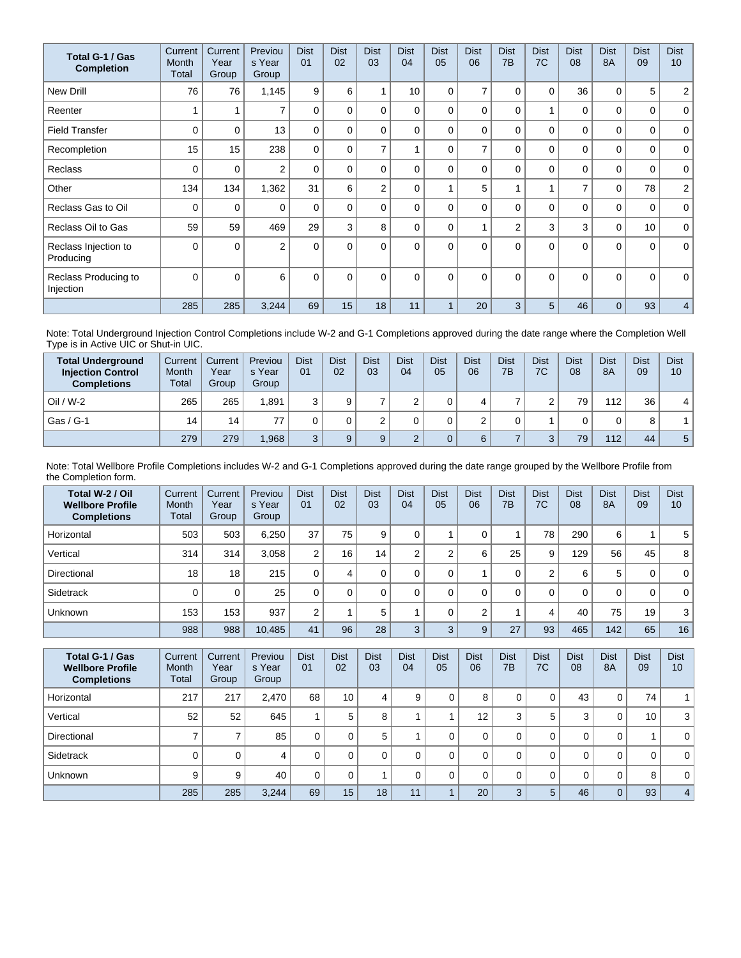| Total G-1 / Gas<br><b>Completion</b> | Current<br>Month<br>Total | Current<br>Year<br>Group | Previou<br>s Year<br>Group | <b>Dist</b><br>01 | <b>Dist</b><br>02 | <b>Dist</b><br>03 | <b>Dist</b><br>04 | <b>Dist</b><br>05 | <b>Dist</b><br>06 | <b>Dist</b><br>7B | <b>Dist</b><br>7C | <b>Dist</b><br>08 | <b>Dist</b><br><b>8A</b> | <b>Dist</b><br>09 | <b>Dist</b><br>10 <sup>1</sup> |
|--------------------------------------|---------------------------|--------------------------|----------------------------|-------------------|-------------------|-------------------|-------------------|-------------------|-------------------|-------------------|-------------------|-------------------|--------------------------|-------------------|--------------------------------|
| <b>New Drill</b>                     | 76                        | 76                       | 1,145                      | 9                 | 6                 |                   | 10                | $\Omega$          | $\overline{7}$    | 0                 | 0                 | 36                | 0                        | 5                 | $\overline{a}$                 |
| Reenter                              |                           |                          | $\overline{ }$             | $\mathbf{0}$      | 0                 | $\Omega$          | 0                 | $\Omega$          | $\Omega$          | $\Omega$          | 1                 | 0                 | $\Omega$                 | 0                 | $\mathbf 0$                    |
| <b>Field Transfer</b>                | $\Omega$                  | $\mathbf 0$              | 13                         | $\Omega$          | 0                 | $\Omega$          | $\Omega$          | $\Omega$          | $\Omega$          | $\Omega$          | 0                 | 0                 | $\Omega$                 | 0                 | $\mathbf 0$                    |
| Recompletion                         | 15                        | 15                       | 238                        | $\Omega$          | $\Omega$          | $\overline{7}$    |                   | $\Omega$          | 7                 | $\Omega$          | $\Omega$          | $\mathbf 0$       | $\Omega$                 | 0                 | $\mathbf 0$                    |
| <b>Reclass</b>                       | $\Omega$                  | 0                        | $\overline{2}$             | $\Omega$          | 0                 | $\Omega$          | 0                 | $\Omega$          | $\Omega$          | $\Omega$          | $\Omega$          | $\mathbf{0}$      | $\Omega$                 | 0                 | $\mathbf 0$                    |
| Other                                | 134                       | 134                      | 1,362                      | 31                | 6                 | 2                 | $\Omega$          |                   | 5                 |                   | 1                 | $\overline{7}$    | $\mathbf 0$              | 78                | $\overline{a}$                 |
| Reclass Gas to Oil                   | 0                         | 0                        | $\Omega$                   | $\Omega$          | $\Omega$          | $\Omega$          | 0                 | $\Omega$          | $\Omega$          | $\Omega$          | 0                 | 0                 | 0                        | 0                 | $\mathbf{0}$                   |
| Reclass Oil to Gas                   | 59                        | 59                       | 469                        | 29                | 3                 | 8                 | 0                 | $\Omega$          |                   | $\overline{2}$    | 3                 | 3                 | $\mathbf 0$              | 10                | $\mathbf 0$                    |
| Reclass Injection to<br>Producing    | $\Omega$                  | $\Omega$                 | $\overline{2}$             | $\Omega$          | $\Omega$          | $\Omega$          | $\Omega$          | $\Omega$          | $\Omega$          | $\Omega$          | $\Omega$          | $\mathbf{0}$      | $\Omega$                 | $\Omega$          | $\mathbf{0}$                   |
| Reclass Producing to<br>Injection    | $\Omega$                  | $\Omega$                 | 6                          | $\mathbf{0}$      | $\Omega$          | $\Omega$          | $\Omega$          | $\Omega$          | $\Omega$          | $\Omega$          | $\Omega$          | $\Omega$          | $\Omega$                 | $\Omega$          | $\mathbf 0$                    |
|                                      | 285                       | 285                      | 3,244                      | 69                | 15                | 18                | 11                |                   | 20                | 3                 | 5                 | 46                | $\Omega$                 | 93                | 4 <sup>1</sup>                 |

Note: Total Underground Injection Control Completions include W-2 and G-1 Completions approved during the date range where the Completion Well Type is in Active UIC or Shut-in UIC.

| <b>Total Underground</b><br><b>Injection Control</b><br><b>Completions</b> | Current<br>Month<br>Total | Current<br>Year<br>Group | Previou<br>s Year<br>Group | <b>Dist</b><br>0 <sub>1</sub> | <b>Dist</b><br>02 | <b>Dist</b><br>03 | <b>Dist</b><br>04 | <b>Dist</b><br>05 | Dist<br>06 | <b>Dist</b><br>7B | <b>Dist</b><br>7C | Dist<br>08 | <b>Dist</b><br><b>8A</b> | <b>Dist</b><br>09 | <b>Dist</b><br>10 |
|----------------------------------------------------------------------------|---------------------------|--------------------------|----------------------------|-------------------------------|-------------------|-------------------|-------------------|-------------------|------------|-------------------|-------------------|------------|--------------------------|-------------------|-------------------|
| $Oil / W-2$                                                                | 265                       | 265                      | 1.891                      |                               | 9                 |                   |                   |                   |            |                   | $\sim$            | 79         | 112                      | 36                | 4                 |
| Gas / G-1                                                                  | 14                        | 14                       |                            |                               |                   |                   |                   |                   |            |                   |                   |            | 0                        | 8                 |                   |
|                                                                            | 279                       | 279                      | .968                       | $\sim$                        | $\Omega$          |                   |                   |                   | 6          |                   | C<br>ັ            | 79         | 112                      | 44                | $5^{\circ}$       |

Note: Total Wellbore Profile Completions includes W-2 and G-1 Completions approved during the date range grouped by the Wellbore Profile from the Completion form.

| Total W-2 / Oil<br><b>Wellbore Profile</b><br><b>Completions</b> | Current<br>Month<br>Total | Current<br>Year<br>Group | Previou<br>s Year<br>Group | <b>Dist</b><br>01 | <b>Dist</b><br>02 | <b>Dist</b><br>03 | <b>Dist</b><br>04 | <b>Dist</b><br>05 | <b>Dist</b><br>06 | <b>Dist</b><br>7 <sub>B</sub> | <b>Dist</b><br>7C | <b>Dist</b><br>08 | <b>Dist</b><br><b>8A</b> | <b>Dist</b><br>09 | <b>Dist</b><br>10 |
|------------------------------------------------------------------|---------------------------|--------------------------|----------------------------|-------------------|-------------------|-------------------|-------------------|-------------------|-------------------|-------------------------------|-------------------|-------------------|--------------------------|-------------------|-------------------|
| Horizontal                                                       | 503                       | 503                      | 6.250                      | 37                | 75                | 9                 |                   |                   |                   |                               | 78                | 290               | 6                        |                   | 5                 |
| Vertical                                                         | 314                       | 314                      | 3,058                      | 2                 | 16                | 14 <sub>1</sub>   | ◠                 | C                 | 6                 | 25                            | 9                 | 129               | 56                       | 45                | 8                 |
| Directional                                                      | 18                        | 18                       | 215                        | ი                 | 4                 | 0                 |                   |                   |                   | 0                             | $\overline{2}$    | 6                 | 5                        | 0                 | $\mathbf{0}$      |
| Sidetrack                                                        |                           | 0                        | 25                         |                   | $\Omega$          | 0                 | 0                 |                   | $\Omega$          | 0                             | 0                 | 0                 | $\Omega$                 | 0                 | $\mathbf 0$       |
| Unknown                                                          | 153                       | 153                      | 937                        | C                 |                   | 5                 |                   |                   | ⌒                 |                               | 4                 | 40                | 75                       | 19                | 3                 |
|                                                                  | 988                       | 988                      | 10,485                     | 41                | 96                | 28                | 3                 | 3                 | 9                 | 27                            | 93                | 465               | 142                      | 65                | 16                |

| Total G-1 / Gas<br><b>Wellbore Profile</b><br><b>Completions</b> | Current<br><b>Month</b><br>Total | Current<br>Year<br>Group | Previou<br>s Year<br>Group | <b>Dist</b><br>01 | <b>Dist</b><br>02 | <b>Dist</b><br>03 | <b>Dist</b><br>04 | <b>Dist</b><br>05 | <b>Dist</b><br>06 | <b>Dist</b><br>7B | <b>Dist</b><br>7C | <b>Dist</b><br>08 | <b>Dist</b><br>8A | <b>Dist</b><br>09 | <b>Dist</b><br>10 |
|------------------------------------------------------------------|----------------------------------|--------------------------|----------------------------|-------------------|-------------------|-------------------|-------------------|-------------------|-------------------|-------------------|-------------------|-------------------|-------------------|-------------------|-------------------|
| Horizontal                                                       | 217                              | 217                      | 2.470                      | 68                | 10                | 4                 | 9                 |                   | 8                 | 0                 | 0                 | 43                | 0                 | 74                |                   |
| Vertical                                                         | 52                               | 52                       | 645                        |                   | 5                 | 8                 |                   |                   | 12                | 3                 | 5                 | 3                 | 0                 | 10                | 3                 |
| Directional                                                      |                                  | ⇁                        | 85                         | 0                 |                   | 5                 |                   |                   |                   | 0                 | 0                 | 0                 | 0                 |                   | 0 <sup>1</sup>    |
| Sidetrack                                                        |                                  | 0                        | 4                          | 0                 |                   | $\Omega$          |                   |                   |                   | 0                 | 0                 | 0                 | 0                 | 0                 | 0 <sup>1</sup>    |
| <b>Unknown</b>                                                   | 9                                | 9                        | 40                         | 0                 |                   |                   |                   |                   |                   | 0                 | 0                 | 0                 | 0                 | 8                 | 0 <sup>1</sup>    |
|                                                                  | 285                              | 285                      | 3,244                      | 69                | 15                | 18                | 11                |                   | 20                | 3                 | 5                 | 46                | $\overline{0}$    | 93                | $\overline{4}$    |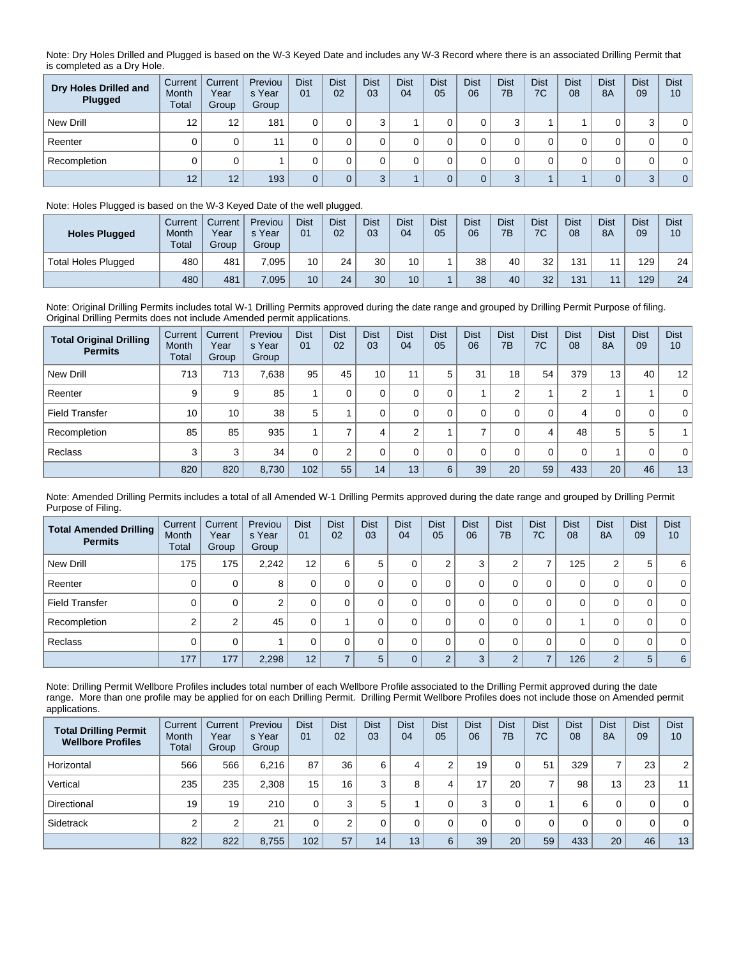Note: Dry Holes Drilled and Plugged is based on the W-3 Keyed Date and includes any W-3 Record where there is an associated Drilling Permit that is completed as a Dry Hole.

| Dry Holes Drilled and<br>Plugged | Current<br>Month<br>Total | Current<br>Year<br>Group | Previou<br>s Year<br>Group | <b>Dist</b><br>01 | <b>Dist</b><br>02 | <b>Dist</b><br>03 | <b>Dist</b><br>04 | <b>Dist</b><br>05 | <b>Dist</b><br>06 | <b>Dist</b><br>7B | <b>Dist</b><br>7C | <b>Dist</b><br>08 | <b>Dist</b><br>8A | <b>Dist</b><br>09 | <b>Dist</b><br>10 |
|----------------------------------|---------------------------|--------------------------|----------------------------|-------------------|-------------------|-------------------|-------------------|-------------------|-------------------|-------------------|-------------------|-------------------|-------------------|-------------------|-------------------|
| New Drill                        | 12                        | 12                       | 181                        |                   |                   | $\sim$            |                   |                   |                   | ົ<br>w            |                   |                   |                   | ◠                 | $\mathbf{0}$      |
| Reenter                          |                           |                          | 11                         |                   |                   |                   |                   |                   |                   |                   |                   |                   |                   | 0                 | $\mathbf 0$       |
| Recompletion                     |                           |                          |                            |                   |                   |                   |                   |                   |                   |                   |                   |                   |                   | 0                 | $\mathbf{0}$      |
|                                  | 12                        | 12                       | 193                        | 0                 |                   | $\Omega$          |                   |                   |                   | ◠                 |                   |                   | 0                 | 3                 | $\overline{0}$    |

## Note: Holes Plugged is based on the W-3 Keyed Date of the well plugged.

| <b>Holes Plugged</b>       | Current<br>Month<br><b>Total</b> | Current<br>Year<br>Group | Previou<br>s Year<br>Group | <b>Dist</b><br>01 | <b>Dist</b><br>02 | <b>Dist</b><br>03 | Dist<br>04 | <b>Dist</b><br>05 | <b>Dist</b><br>06 | <b>Dist</b><br>7B | <b>Dist</b><br>7C | <b>Dist</b><br>08 | <b>Dist</b><br><b>8A</b> | <b>Dist</b><br>09 | <b>Dist</b><br>10 |
|----------------------------|----------------------------------|--------------------------|----------------------------|-------------------|-------------------|-------------------|------------|-------------------|-------------------|-------------------|-------------------|-------------------|--------------------------|-------------------|-------------------|
| <b>Total Holes Plugged</b> | 480                              | 481                      | .095                       | 10                | 24                | 30                | 10         |                   | 38                | 40                | 32                | 131               | 11                       | 129               | 24 <sub>1</sub>   |
|                            | 480                              | 481                      | 7,095                      | 10                | 24                | 30                | 10         |                   | 38                | 40                | 32                | 131               | 11                       | 129               | 24 <sub>1</sub>   |

Note: Original Drilling Permits includes total W-1 Drilling Permits approved during the date range and grouped by Drilling Permit Purpose of filing. Original Drilling Permits does not include Amended permit applications.

| <b>Total Original Drilling</b><br><b>Permits</b> | Current<br>Month<br><b>Total</b> | Current<br>Year<br>Group | Previou<br>s Year<br>Group | <b>Dist</b><br>01 | <b>Dist</b><br>02 | <b>Dist</b><br>03 | <b>Dist</b><br>04 | <b>Dist</b><br>05 | <b>Dist</b><br>06 | <b>Dist</b><br>7B | <b>Dist</b><br>7C | <b>Dist</b><br>08 | <b>Dist</b><br><b>8A</b> | <b>Dist</b><br>09 | <b>Dist</b><br>10 |
|--------------------------------------------------|----------------------------------|--------------------------|----------------------------|-------------------|-------------------|-------------------|-------------------|-------------------|-------------------|-------------------|-------------------|-------------------|--------------------------|-------------------|-------------------|
| New Drill                                        | 713                              | 713                      | 7.638                      | 95                | 45                | 10                | 11                | 5                 | 31                | 18                | 54                | 379               | 13                       | 40                | 12                |
| Reenter                                          | 9                                | 9                        | 85                         |                   | 0                 |                   | 0                 |                   |                   | $\sim$            |                   | 2                 |                          |                   | $\overline{0}$    |
| <b>Field Transfer</b>                            | 10                               | 10                       | 38                         | 5                 |                   |                   |                   |                   | 0                 |                   | 0                 | 4                 | 0                        | 0                 | $\overline{0}$    |
| Recompletion                                     | 85                               | 85                       | 935                        |                   |                   |                   | C                 |                   |                   |                   | 4                 | 48                | 5                        | 5                 |                   |
| Reclass                                          | 3                                | 3                        | 34                         |                   |                   |                   | 0                 |                   | $\Omega$          | 0                 | 0                 | 0                 |                          | 0                 | $\overline{0}$    |
|                                                  | 820                              | 820                      | 8,730                      | 102               | 55                | 14                | 13                | 6                 | 39                | 20                | 59                | 433               | 20                       | 46                | 13                |

Note: Amended Drilling Permits includes a total of all Amended W-1 Drilling Permits approved during the date range and grouped by Drilling Permit Purpose of Filing.

| <b>Total Amended Drilling</b><br><b>Permits</b> | Current<br>Month<br>Total | Current<br>Year<br>Group | Previou<br>s Year<br>Group | <b>Dist</b><br>01 | <b>Dist</b><br>02 | <b>Dist</b><br>03 | <b>Dist</b><br>04 | <b>Dist</b><br>05 | <b>Dist</b><br>06 | <b>Dist</b><br>7B | <b>Dist</b><br>7C | <b>Dist</b><br>08 | <b>Dist</b><br><b>8A</b> | <b>Dist</b><br>09 | <b>Dist</b><br>10 |
|-------------------------------------------------|---------------------------|--------------------------|----------------------------|-------------------|-------------------|-------------------|-------------------|-------------------|-------------------|-------------------|-------------------|-------------------|--------------------------|-------------------|-------------------|
| New Drill                                       | 175                       | 175                      | 2,242                      | 12                | 6                 | 5                 |                   | 2                 | 3                 | 2                 |                   | 125               | 2                        | 5                 | 6                 |
| Reenter                                         |                           | 0                        | 8                          | 0                 |                   |                   |                   | 0                 | 0                 | 0                 | 0                 | 0                 | 0                        | 0                 | 0 <sup>1</sup>    |
| <b>Field Transfer</b>                           |                           | 0                        | 2                          | 0                 |                   |                   |                   | 0                 | 0                 | 0                 | 0                 | 0                 | 0                        | 0                 | 0 <sup>1</sup>    |
| Recompletion                                    |                           | 2                        | 45                         | 0                 |                   |                   |                   | 0                 | 0                 | 0                 | 0                 |                   | 0                        | 0                 | 0 <sup>1</sup>    |
| Reclass                                         |                           | 0                        |                            | 0                 |                   | $\Omega$          |                   | $\Omega$          | 0                 | 0                 | 0                 | $\mathbf 0$       | 0                        | 0                 | 0 <sup>1</sup>    |
|                                                 | 177                       | 177                      | 2,298                      | 12 <sup>1</sup>   |                   | 5                 |                   | $\Omega$          | 3                 | $\overline{2}$    | ⇁                 | 126               | 2                        | 5                 | 6                 |

Note: Drilling Permit Wellbore Profiles includes total number of each Wellbore Profile associated to the Drilling Permit approved during the date range. More than one profile may be applied for on each Drilling Permit. Drilling Permit Wellbore Profiles does not include those on Amended permit applications.

| <b>Total Drilling Permit</b><br><b>Wellbore Profiles</b> | Current<br>Month<br>Total | Current<br>Year<br>Group | Previou<br>s Year<br>Group | <b>Dist</b><br>01 | <b>Dist</b><br>02 | <b>Dist</b><br>03 | <b>Dist</b><br>04 | <b>Dist</b><br>05 | <b>Dist</b><br>06 | <b>Dist</b><br>7B | <b>Dist</b><br>7C | <b>Dist</b><br>08 | <b>Dist</b><br>8A | <b>Dist</b><br>09 | <b>Dist</b><br>10 |
|----------------------------------------------------------|---------------------------|--------------------------|----------------------------|-------------------|-------------------|-------------------|-------------------|-------------------|-------------------|-------------------|-------------------|-------------------|-------------------|-------------------|-------------------|
| Horizontal                                               | 566                       | 566                      | 6.216                      | 87                | 36                | 6                 | 4                 |                   | 19                |                   | 51                | 329               | 7                 | 23                | 2                 |
| Vertical                                                 | 235                       | 235                      | 2.308                      | 15 <sub>1</sub>   | 16 <sub>1</sub>   | 3                 | 8                 |                   | 17                | 20                | ⇁                 | 98                | 13                | 23                | 11                |
| Directional                                              | 19                        | 19                       | 210                        |                   | 3                 | 5                 |                   |                   | $\sim$            |                   |                   | 6                 | 0                 | 0                 | $\mathbf{0}$      |
| Sidetrack                                                |                           | 2                        | 21                         |                   |                   |                   |                   |                   |                   |                   | 0                 |                   | 0                 | 0                 | $\mathbf{0}$      |
|                                                          | 822                       | 822                      | 8.755                      | 102               | 57                | 14                | 13                | 6                 | 39                | 20                | 59                | 433               | 20                | 46                | 13 <sup>2</sup>   |